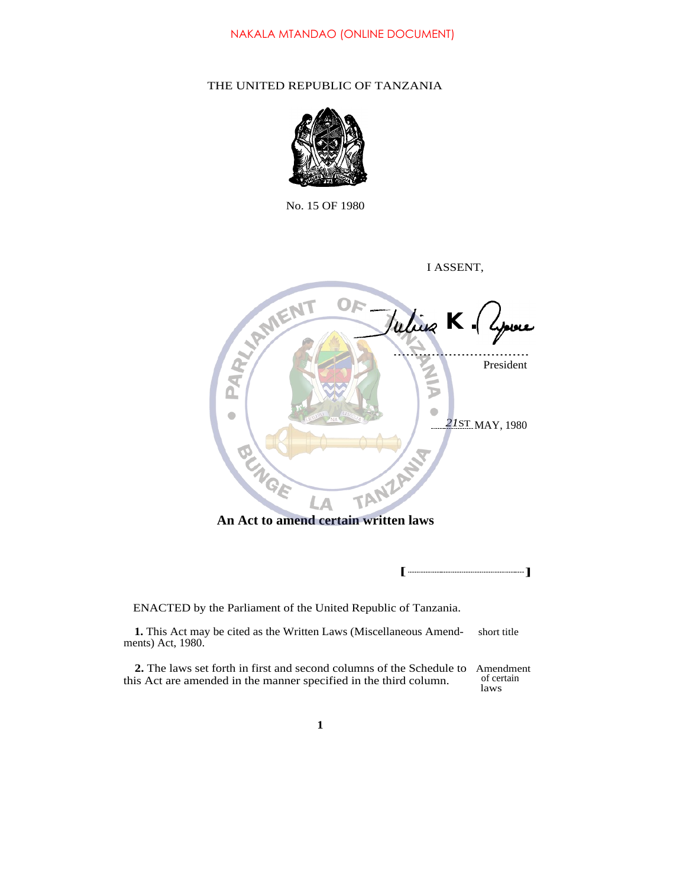# THE UNITED REPUBLIC OF TANZANIA



No. 15 OF 1980

| I ASSENT,                                                                                                                                        |                                 |
|--------------------------------------------------------------------------------------------------------------------------------------------------|---------------------------------|
| <b>REAL PRIMERIT</b><br>Julius K. 4pour<br>TANZANY<br>LA<br>An Act to amend certain written laws                                                 | President<br>21ST MAY, 1980     |
|                                                                                                                                                  |                                 |
| ENACTED by the Parliament of the United Republic of Tanzania.                                                                                    |                                 |
| 1. This Act may be cited as the Written Laws (Miscellaneous Amend-<br>ments) Act, 1980.                                                          | short title                     |
| <b>2.</b> The laws set forth in first and second columns of the Schedule to<br>this Act are amended in the manner specified in the third column. | Amendment<br>of certain<br>laws |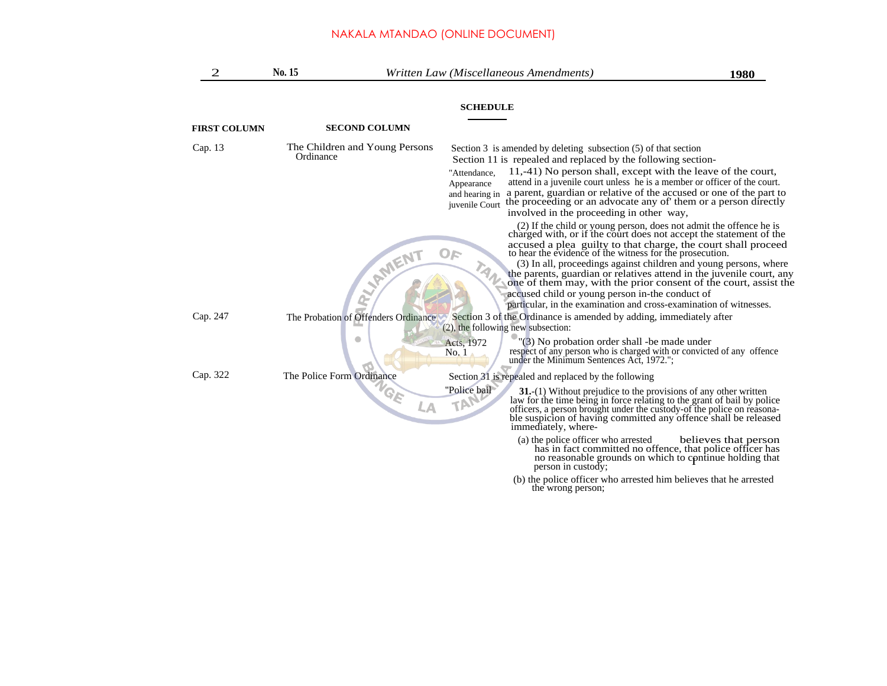| 2                   | No. 15    |                                                       | Written Law (Miscellaneous Amendments)                                                                                                                                                                                                                                                                                                                                                                                                                                                                                                   | 1980                                                                                                                                                                                                                                                                                |
|---------------------|-----------|-------------------------------------------------------|------------------------------------------------------------------------------------------------------------------------------------------------------------------------------------------------------------------------------------------------------------------------------------------------------------------------------------------------------------------------------------------------------------------------------------------------------------------------------------------------------------------------------------------|-------------------------------------------------------------------------------------------------------------------------------------------------------------------------------------------------------------------------------------------------------------------------------------|
|                     |           |                                                       | <b>SCHEDULE</b>                                                                                                                                                                                                                                                                                                                                                                                                                                                                                                                          |                                                                                                                                                                                                                                                                                     |
| <b>FIRST COLUMN</b> |           | <b>SECOND COLUMN</b>                                  |                                                                                                                                                                                                                                                                                                                                                                                                                                                                                                                                          |                                                                                                                                                                                                                                                                                     |
| Cap. 13             | Ordinance | The Children and Young Persons                        | Section $3$ is amended by deleting subsection $(5)$ of that section<br>Section 11 is repealed and replaced by the following section-<br>11,-41) No person shall, except with the leave of the court,<br>"Attendance,<br>attend in a juvenile court unless he is a member or officer of the court.<br>Appearance<br>a parent, guardian or relative of the accused or one of the part to<br>and hearing in<br>the proceeding or an advocate any of them or a person directly<br>juvenile Court<br>involved in the proceeding in other way, |                                                                                                                                                                                                                                                                                     |
| Cap. 247            |           | <b>LYMENT</b><br>The Probation of Offenders Ordinance | charged with, or if the court does not accept the statement of the<br>accused a plea guilty to that charge, the court shall proceed<br>OF<br>to hear the evidence of the witness for the prosecution.<br>accused child or young person in-the conduct of<br>particular, in the examination and cross-examination of witnesses.<br>Section 3 of the Ordinance is amended by adding, immediately after<br>(2), the following new subsection:                                                                                               | (2) If the child or young person, does not admit the offence he is<br>(3) In all, proceedings against children and young persons, where<br>the parents, guardian or relatives attend in the juvenile court, any<br>one of them may, with the prior consent of the court, assist the |
|                     |           |                                                       | "(3) No probation order shall -be made under<br>Acts, 1972<br>respect of any person who is charged with or convicted of any offence<br>No. 1<br>under the Minimum Sentences Act, 1972.";                                                                                                                                                                                                                                                                                                                                                 |                                                                                                                                                                                                                                                                                     |
| Cap. 322            |           | The Police Form Ordinance                             | Section 31 is repealed and replaced by the following                                                                                                                                                                                                                                                                                                                                                                                                                                                                                     |                                                                                                                                                                                                                                                                                     |
|                     |           | $G_E$<br>LА                                           | "Police bail"<br>$31-(1)$ Without prejudice to the provisions of any other written<br>TAN<br>law for the time being in force relating to the grant of bail by police<br>officers, a person brought under the custody-of the police on reasona-<br>ble suspicion of having committed any offence shall be released<br>immediately, where-                                                                                                                                                                                                 |                                                                                                                                                                                                                                                                                     |
|                     |           |                                                       | (a) the police officer who arrested<br>person in custody;                                                                                                                                                                                                                                                                                                                                                                                                                                                                                | believes that person<br>has in fact committed no offence, that police officer has<br>no reasonable grounds on which to continue holding that                                                                                                                                        |
|                     |           |                                                       | (b) the police officer who arrested him believes that he arrested<br>the wrong person;                                                                                                                                                                                                                                                                                                                                                                                                                                                   |                                                                                                                                                                                                                                                                                     |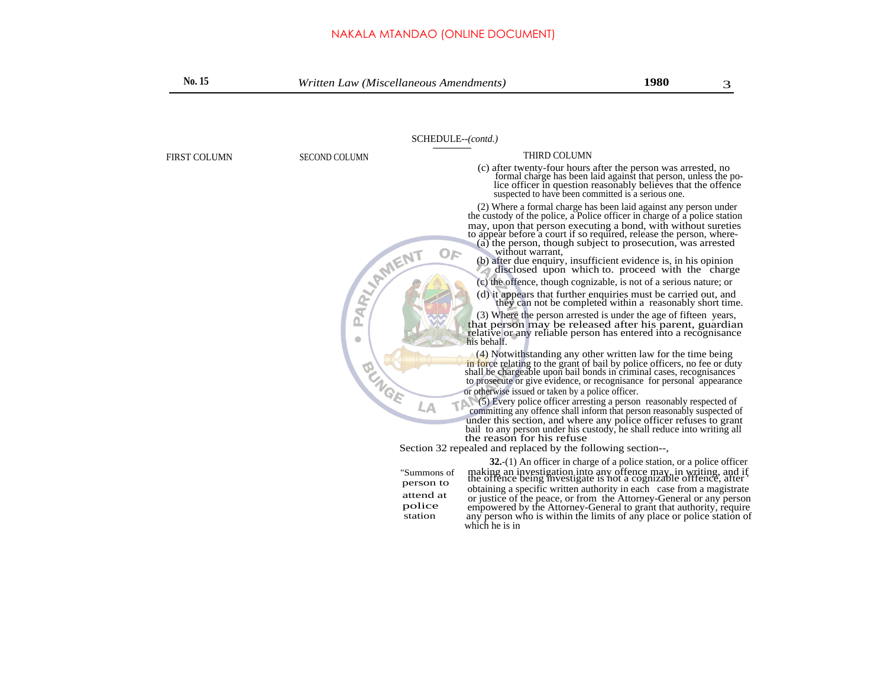| No. 15       | Written Law (Miscellaneous Amendments)                     |                                                                                                                                                                                                                                                                                                                                                                                                                                     | 1980                                                                                                                                                                                                                                                                  | 3 |
|--------------|------------------------------------------------------------|-------------------------------------------------------------------------------------------------------------------------------------------------------------------------------------------------------------------------------------------------------------------------------------------------------------------------------------------------------------------------------------------------------------------------------------|-----------------------------------------------------------------------------------------------------------------------------------------------------------------------------------------------------------------------------------------------------------------------|---|
|              | SCHEDULE--(contd.)                                         |                                                                                                                                                                                                                                                                                                                                                                                                                                     |                                                                                                                                                                                                                                                                       |   |
|              |                                                            | <b>THIRD COLUMN</b>                                                                                                                                                                                                                                                                                                                                                                                                                 |                                                                                                                                                                                                                                                                       |   |
| FIRST COLUMN | <b>SECOND COLUMN</b>                                       |                                                                                                                                                                                                                                                                                                                                                                                                                                     | (c) after twenty-four hours after the person was arrested, no<br>formal charge has been laid against that person, unless the po-<br>lice officer in question reasonably believes that the offence<br>suspected to have been committed is a serious one.               |   |
|              | $O_F$                                                      | the custody of the police, a Police officer in charge of a police station<br>may, upon that person executing a bond, with without sureties<br>to appear before a court if so required, release the person, where-<br>without warrant,                                                                                                                                                                                               | (2) Where a formal charge has been laid against any person under<br>(a) the person, though subject to prosecution, was arrested<br>(b) after due enquiry, insufficient evidence is, in his opinion<br>disclosed upon which to proceed with the charge                 |   |
|              | <b>PARTY AMERIT</b><br>$\bullet$                           | that person may be released after his parent, guardian<br>relative or any reliable person has entered into a recognisance<br>his behalf.                                                                                                                                                                                                                                                                                            | (c) the offence, though cognizable, is not of a serious nature; or<br>(d) it appears that further enquiries must be carried out, and<br>they can not be completed within a reasonably short time.<br>(3) Where the person arrested is under the age of fifteen years, |   |
|              | <b>BUNGE</b><br>LA                                         | in force relating to the grant of bail by police officers, no fee or duty shall be chargeable upon bail bonds in criminal cases, recognisances<br>to prosecute or give evidence, or recognisance for personal appearance<br>or otherwise issued or taken by a police officer.<br>committing any offence shall inform that person reasonably suspected of<br>under this section, and where any police officer refuses to grant       | (4) Notwithstanding any other written law for the time being<br>(5) Every police officer arresting a person reasonably respected of                                                                                                                                   |   |
|              |                                                            | bail to any person under his custody, he shall reduce into writing all<br>the reason for his refuse<br>Section 32 repealed and replaced by the following section--,                                                                                                                                                                                                                                                                 |                                                                                                                                                                                                                                                                       |   |
|              | "Summons of<br>person to<br>attend at<br>police<br>station | making an investigation into any offence may, in writing, and if<br>the offence being investigate is not a cognizable offence, after<br>obtaining a specific written authority in each case from a magistrate<br>or justice of the peace, or from the Attorney-General or any person<br>empowered by the Attorney-General to grant that authority, require<br>any person who is within the limits of any place or police station of | 32.-(1) An officer in charge of a police station, or a police officer                                                                                                                                                                                                 |   |

which he is in

any person who is within the limits of any place or police station of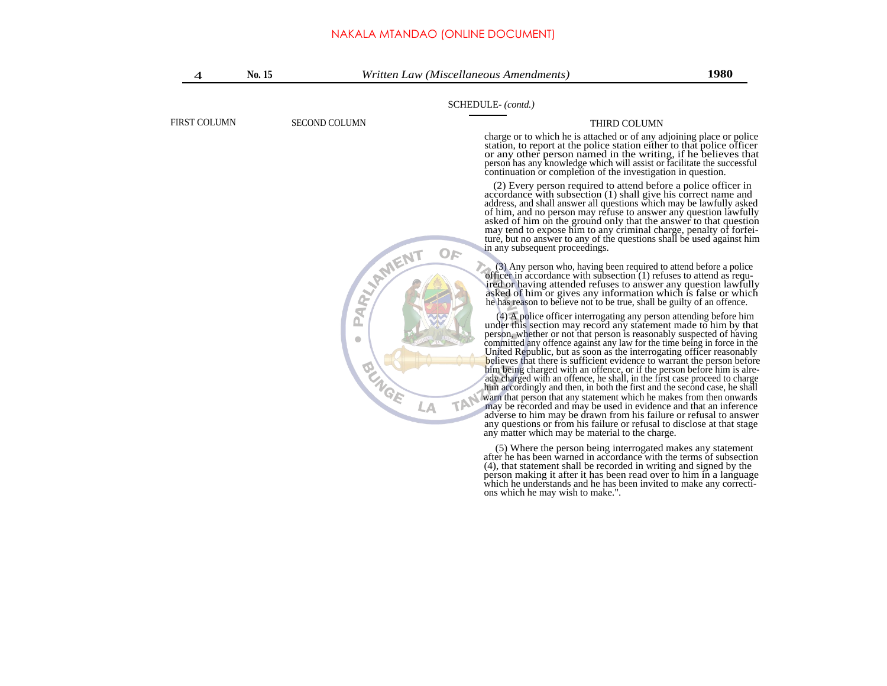| 4            | No. 15 |                                       | Written Law (Miscellaneous Amendments)                                                                                                                                                                                                                                                                                                                                                                                                                                                                                                                                                                                                                                                                                                                                                                                                                                                                                                                                                                                                                | 1980         |  |  |
|--------------|--------|---------------------------------------|-------------------------------------------------------------------------------------------------------------------------------------------------------------------------------------------------------------------------------------------------------------------------------------------------------------------------------------------------------------------------------------------------------------------------------------------------------------------------------------------------------------------------------------------------------------------------------------------------------------------------------------------------------------------------------------------------------------------------------------------------------------------------------------------------------------------------------------------------------------------------------------------------------------------------------------------------------------------------------------------------------------------------------------------------------|--------------|--|--|
|              |        |                                       | SCHEDULE-(contd.)                                                                                                                                                                                                                                                                                                                                                                                                                                                                                                                                                                                                                                                                                                                                                                                                                                                                                                                                                                                                                                     |              |  |  |
| FIRST COLUMN |        | <b>SECOND COLUMN</b>                  |                                                                                                                                                                                                                                                                                                                                                                                                                                                                                                                                                                                                                                                                                                                                                                                                                                                                                                                                                                                                                                                       | THIRD COLUMN |  |  |
|              |        |                                       | charge or to which he is attached or of any adjoining place or police<br>station, to report at the police station either to that police officer<br>or any other person named in the writing, if he believes that<br>person has any knowledge which will assist or facilitate the successful<br>continuation or completion of the investigation in question.                                                                                                                                                                                                                                                                                                                                                                                                                                                                                                                                                                                                                                                                                           |              |  |  |
|              |        |                                       | (2) Every person required to attend before a police officer in<br>accordance with subsection (1) shall give his correct name and<br>address, and shall answer all questions which may be lawfully asked<br>of him, and no person may refuse to answer any question lawfully<br>asked of him on the ground only that the answer to that question<br>may tend to expose him to any criminal charge, penalty of forfei-<br>ture, but no answer to any of the questions shall be used against him<br>in any subsequent proceedings.<br>$O_F$                                                                                                                                                                                                                                                                                                                                                                                                                                                                                                              |              |  |  |
|              |        | <b>ARY HAMENT</b>                     | (3) Any person who, having been required to attend before a police<br>officer in accordance with subsection (1) refuses to attend as requ-<br>ired or having attended refuses to answer any question lawfully<br>asked of him or gives any information which is false or which<br>he has reason to believe not to be true, shall be guilty of an offence.                                                                                                                                                                                                                                                                                                                                                                                                                                                                                                                                                                                                                                                                                             |              |  |  |
|              |        | <u>n</u><br>$\bullet$<br><b>AUNGE</b> | (4) A police officer interrogating any person attending before him<br>under this section may record any statement made to him by that<br>person, whether or not that person is reasonably suspected of having<br>committed any offence against any law for the time being in force in the<br>United Republic, but as soon as the interrogating officer reasonably<br>believes that there is sufficient evidence to warrant the person before<br>him being charged with an offence, or if the person before him is alre-<br>ady charged with an offence, he shall, in the first case proceed to charge<br>him accordingly and then, in both the first and the second case, he shall<br>warn that person that any statement which he makes from then onwards<br><b>TAN</b><br>LA<br>may be recorded and may be used in evidence and that an inference<br>adverse to him may be drawn from his failure or refusal to answer<br>any questions or from his failure or refusal to disclose at that stage<br>any matter which may be material to the charge. |              |  |  |
|              |        |                                       | (5) Where the person being interrogated makes any statement                                                                                                                                                                                                                                                                                                                                                                                                                                                                                                                                                                                                                                                                                                                                                                                                                                                                                                                                                                                           |              |  |  |

(5) Where the person being interrogated makes any statement<br>after he has been warned in accordance with the terms of subsection<br>(4), that statement shall be recorded in writing and signed by the<br>person making it after it h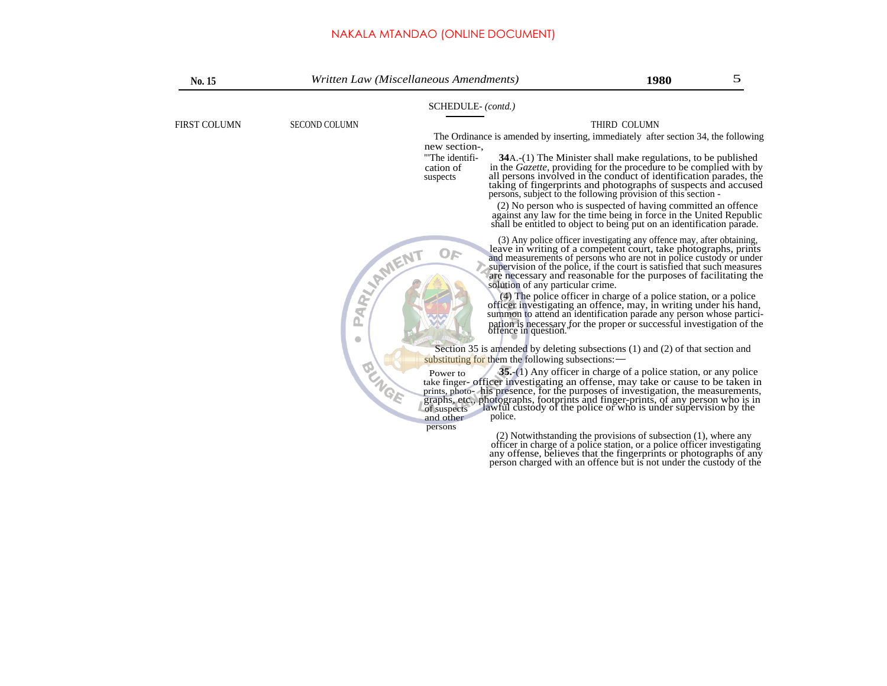| No. 15       | Written Law (Miscellaneous Amendments) |                                                                | 1980                                                                                                                                                                                                                                                                                                                                                            | 5 |
|--------------|----------------------------------------|----------------------------------------------------------------|-----------------------------------------------------------------------------------------------------------------------------------------------------------------------------------------------------------------------------------------------------------------------------------------------------------------------------------------------------------------|---|
|              |                                        | SCHEDULE-(contd.)                                              |                                                                                                                                                                                                                                                                                                                                                                 |   |
| FIRST COLUMN | <b>SECOND COLUMN</b>                   |                                                                | THIRD COLUMN                                                                                                                                                                                                                                                                                                                                                    |   |
|              |                                        | new section-.                                                  | The Ordinance is amended by inserting, immediately after section 34, the following                                                                                                                                                                                                                                                                              |   |
|              | suspects                               | "The identifi-<br>cation of                                    | 34A.-(1) The Minister shall make regulations, to be published<br>in the Gazette, providing for the procedure to be complied with by<br>all persons involved in the conduct of identification parades, the<br>taking of fingerprints and photographs of suspects and accused<br>persons, subject to the following provision of this section -                    |   |
|              |                                        |                                                                | (2) No person who is suspected of having committed an offence<br>against any law for the time being in force in the United Republic<br>shall be entitled to object to being put on an identification parade.                                                                                                                                                    |   |
|              | RARY AMENT                             | OF<br>solution of any particular crime.                        | (3) Any police officer investigating any offence may, after obtaining,<br>leave in writing of a competent court, take photographs, prints<br>and measurements of persons who are not in police custody or under<br>supervision of the police, if the court is satisfied that such measures<br>are necessary and reasonable for the purposes of facilitating the |   |
|              | ø                                      |                                                                | (4) The police officer in charge of a police station, or a police<br>officer investigating an offence, may, in writing under his hand,<br>summon to attend an identification parade any person whose partici-<br>pation is necessary for the proper or successful investigation of the offence in question."                                                    |   |
|              |                                        |                                                                | Section 35 is amended by deleting subsections (1) and (2) of that section and                                                                                                                                                                                                                                                                                   |   |
|              |                                        | substituting for them the following subsections: -<br>Power to | 35. (1) Any officer in charge of a police station, or any police                                                                                                                                                                                                                                                                                                |   |
|              | <b>BUNGE</b>                           | of suspects                                                    | take finger- officer investigating an offense, may take or cause to be taken in<br>prints, photo-his presence, for the purposes of investigation, the measurements,<br>graphs, etc., photographs, footprints and finger-prints, of any person who is in of suspects lawful custody of the police or who is under supervision by the                             |   |
|              | persons                                | police.<br>and other                                           |                                                                                                                                                                                                                                                                                                                                                                 |   |
|              |                                        |                                                                | $(2)$ Notwithstanding the provisions of subsection $(1)$ , where any<br>officer in charge of a police station, or a police officer investigating<br>any offense, believes that the fingerprints or photographs of any<br>person charged with an offence but is not under the custody of the                                                                     |   |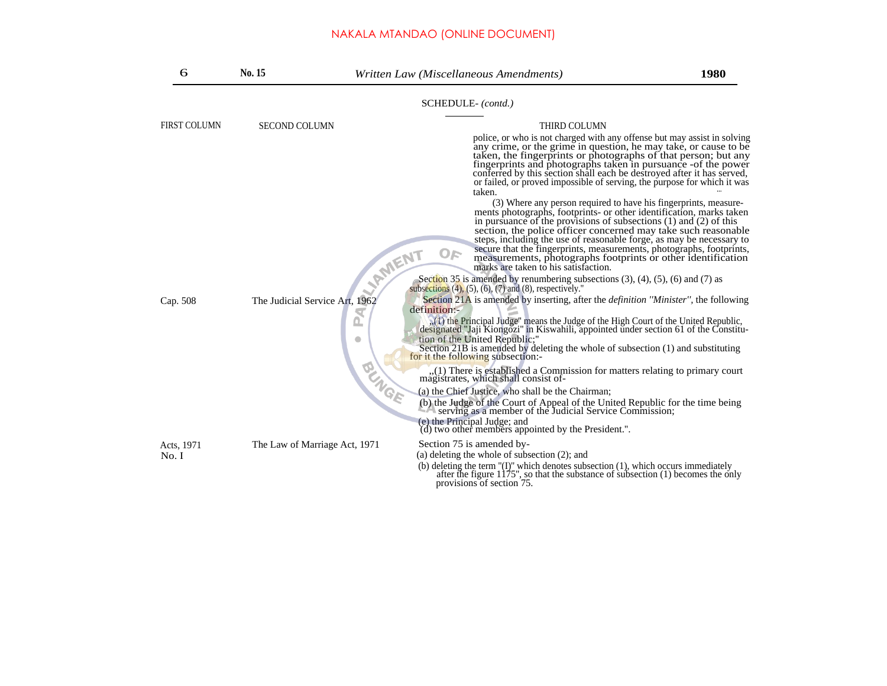| 6                   | No. 15                         | Written Law (Miscellaneous Amendments)                                                                                                                                                                                                                                                                                                                                                                                                                                                                                                                                                                                                                                                                                                                                                                                                                                                                                                                                                                                                                                                                                                                                                                     | 1980 |
|---------------------|--------------------------------|------------------------------------------------------------------------------------------------------------------------------------------------------------------------------------------------------------------------------------------------------------------------------------------------------------------------------------------------------------------------------------------------------------------------------------------------------------------------------------------------------------------------------------------------------------------------------------------------------------------------------------------------------------------------------------------------------------------------------------------------------------------------------------------------------------------------------------------------------------------------------------------------------------------------------------------------------------------------------------------------------------------------------------------------------------------------------------------------------------------------------------------------------------------------------------------------------------|------|
|                     |                                | SCHEDULE-(contd.)                                                                                                                                                                                                                                                                                                                                                                                                                                                                                                                                                                                                                                                                                                                                                                                                                                                                                                                                                                                                                                                                                                                                                                                          |      |
| <b>FIRST COLUMN</b> | <b>SECOND COLUMN</b>           | THIRD COLUMN<br>police, or who is not charged with any offense but may assist in solving<br>any crime, or the grime in question, he may take, or cause to be<br>taken, the fingerprints or photographs of that person; but any<br>fingerprints and photographs taken in pursuance -of the power<br>conferred by this section shall each be destroyed after it has served,<br>or failed, or proved impossible of serving, the purpose for which it was<br>taken.<br>(3) Where any person required to have his fingerprints, measure-<br>ments photographs, footprints- or other identification, marks taken<br>in pursuance of the provisions of subsections $(1)$ and $(2)$ of this<br>section, the police officer concerned may take such reasonable<br>steps, including the use of reasonable forge, as may be necessary to<br>secure that the fingerprints, measurements, photographs, footprints,<br>OF<br><b>AMENT</b><br>measurements, photographs footprints or other identification<br>marks are taken to his satisfaction.<br>Section 35 is amended by renumbering subsections $(3)$ , $(4)$ , $(5)$ , $(6)$ and $(7)$ as<br>subsections $(4)$ , $(5)$ , $(6)$ , $(7)$ and $(8)$ , respectively." |      |
| Cap. 508            | The Judicial Service Art, 1962 | Section 21A is amended by inserting, after the <i>definition "Minister"</i> , the following<br>definition:-<br>(1) the Principal Judge" means the Judge of the High Court of the United Republic,<br>designated "Jaji Kiongozi" in Kiswahili, appointed under section 61 of the Constitu-<br>$\bullet$<br>tion of the United Republic;"<br>Section 21B is amended by deleting the whole of subsection (1) and substituting<br>for it the following subsection:-<br><b>BUNGE</b><br>,(1) There is established a Commission for matters relating to primary court magistrates, which shall consist of-<br>(a) the Chief Justice, who shall be the Chairman;<br>(b) the Judge of the Court of Appeal of the United Republic for the time being<br>serving as a member of the Judicial Service Commission;<br>(e) the Principal Judge; and<br>(d) two other members appointed by the President.".                                                                                                                                                                                                                                                                                                              |      |
| Acts, 1971<br>No. I | The Law of Marriage Act, 1971  | Section 75 is amended by-<br>(a) deleting the whole of subsection $(2)$ ; and<br>(b) deleting the term " $(I)$ " which denotes subsection $(1)$ , which occurs immediately after the figure $1175$ ", so that the substance of subsection $(1)$ becomes the only<br>provisions of section 75.                                                                                                                                                                                                                                                                                                                                                                                                                                                                                                                                                                                                                                                                                                                                                                                                                                                                                                              |      |